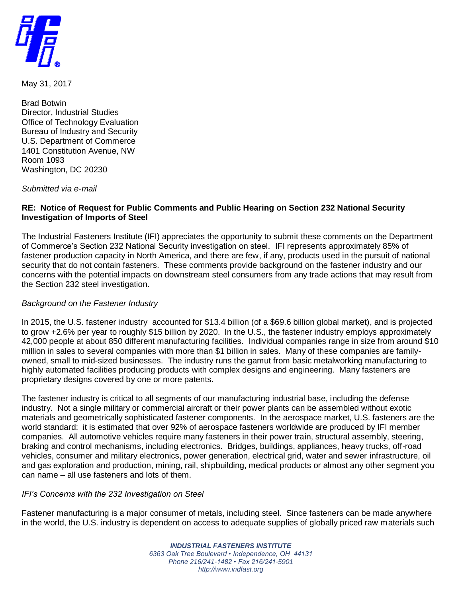

May 31, 2017

Brad Botwin Director, Industrial Studies Office of Technology Evaluation Bureau of Industry and Security U.S. Department of Commerce 1401 Constitution Avenue, NW Room 1093 Washington, DC 20230

*Submitted via e-mail*

## **RE: Notice of Request for Public Comments and Public Hearing on Section 232 National Security Investigation of Imports of Steel**

The Industrial Fasteners Institute (IFI) appreciates the opportunity to submit these comments on the Department of Commerce's Section 232 National Security investigation on steel. IFI represents approximately 85% of fastener production capacity in North America, and there are few, if any, products used in the pursuit of national security that do not contain fasteners. These comments provide background on the fastener industry and our concerns with the potential impacts on downstream steel consumers from any trade actions that may result from the Section 232 steel investigation.

## *Background on the Fastener Industry*

In 2015, the U.S. fastener industry accounted for \$13.4 billion (of a \$69.6 billion global market), and is projected to grow +2.6% per year to roughly \$15 billion by 2020. In the U.S., the fastener industry employs approximately 42,000 people at about 850 different manufacturing facilities. Individual companies range in size from around \$10 million in sales to several companies with more than \$1 billion in sales. Many of these companies are familyowned, small to mid-sized businesses. The industry runs the gamut from basic metalworking manufacturing to highly automated facilities producing products with complex designs and engineering. Many fasteners are proprietary designs covered by one or more patents.

The fastener industry is critical to all segments of our manufacturing industrial base, including the defense industry. Not a single military or commercial aircraft or their power plants can be assembled without exotic materials and geometrically sophisticated fastener components. In the aerospace market, U.S. fasteners are the world standard: it is estimated that over 92% of aerospace fasteners worldwide are produced by IFI member companies. All automotive vehicles require many fasteners in their power train, structural assembly, steering, braking and control mechanisms, including electronics. Bridges, buildings, appliances, heavy trucks, off-road vehicles, consumer and military electronics, power generation, electrical grid, water and sewer infrastructure, oil and gas exploration and production, mining, rail, shipbuilding, medical products or almost any other segment you can name – all use fasteners and lots of them.

## *IFI's Concerns with the 232 Investigation on Steel*

Fastener manufacturing is a major consumer of metals, including steel. Since fasteners can be made anywhere in the world, the U.S. industry is dependent on access to adequate supplies of globally priced raw materials such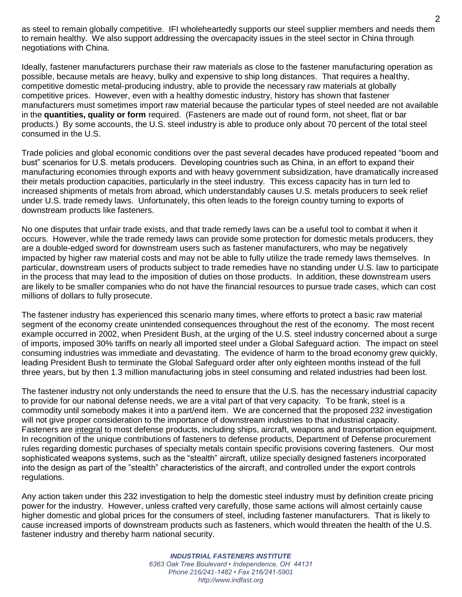as steel to remain globally competitive. IFI wholeheartedly supports our steel supplier members and needs them to remain healthy. We also support addressing the overcapacity issues in the steel sector in China through negotiations with China.

Ideally, fastener manufacturers purchase their raw materials as close to the fastener manufacturing operation as possible, because metals are heavy, bulky and expensive to ship long distances. That requires a healthy, competitive domestic metal-producing industry, able to provide the necessary raw materials at globally competitive prices. However, even with a healthy domestic industry, history has shown that fastener manufacturers must sometimes import raw material because the particular types of steel needed are not available in the **quantities, quality or form** required. (Fasteners are made out of round form, not sheet, flat or bar products.) By some accounts, the U.S. steel industry is able to produce only about 70 percent of the total steel consumed in the U.S.

Trade policies and global economic conditions over the past several decades have produced repeated "boom and bust" scenarios for U.S. metals producers. Developing countries such as China, in an effort to expand their manufacturing economies through exports and with heavy government subsidization, have dramatically increased their metals production capacities, particularly in the steel industry. This excess capacity has in turn led to increased shipments of metals from abroad, which understandably causes U.S. metals producers to seek relief under U.S. trade remedy laws. Unfortunately, this often leads to the foreign country turning to exports of downstream products like fasteners.

No one disputes that unfair trade exists, and that trade remedy laws can be a useful tool to combat it when it occurs. However, while the trade remedy laws can provide some protection for domestic metals producers, they are a double-edged sword for downstream users such as fastener manufacturers, who may be negatively impacted by higher raw material costs and may not be able to fully utilize the trade remedy laws themselves. In particular, downstream users of products subject to trade remedies have no standing under U.S. law to participate in the process that may lead to the imposition of duties on those products. In addition, these downstream users are likely to be smaller companies who do not have the financial resources to pursue trade cases, which can cost millions of dollars to fully prosecute.

The fastener industry has experienced this scenario many times, where efforts to protect a basic raw material segment of the economy create unintended consequences throughout the rest of the economy. The most recent example occurred in 2002, when President Bush, at the urging of the U.S. steel industry concerned about a surge of imports, imposed 30% tariffs on nearly all imported steel under a Global Safeguard action. The impact on steel consuming industries was immediate and devastating. The evidence of harm to the broad economy grew quickly, leading President Bush to terminate the Global Safeguard order after only eighteen months instead of the full three years, but by then 1.3 million manufacturing jobs in steel consuming and related industries had been lost.

The fastener industry not only understands the need to ensure that the U.S. has the necessary industrial capacity to provide for our national defense needs, we are a vital part of that very capacity. To be frank, steel is a commodity until somebody makes it into a part/end item. We are concerned that the proposed 232 investigation will not give proper consideration to the importance of downstream industries to that industrial capacity. Fasteners are integral to most defense products, including ships, aircraft, weapons and transportation equipment. In recognition of the unique contributions of fasteners to defense products, Department of Defense procurement rules regarding domestic purchases of specialty metals contain specific provisions covering fasteners. Our most sophisticated weapons systems, such as the "stealth" aircraft, utilize specially designed fasteners incorporated into the design as part of the "stealth" characteristics of the aircraft, and controlled under the export controls regulations.

Any action taken under this 232 investigation to help the domestic steel industry must by definition create pricing power for the industry. However, unless crafted very carefully, those same actions will almost certainly cause higher domestic and global prices for the consumers of steel, including fastener manufacturers. That is likely to cause increased imports of downstream products such as fasteners, which would threaten the health of the U.S. fastener industry and thereby harm national security.

> *INDUSTRIAL FASTENERS INSTITUTE 6363 Oak Tree Boulevard • Independence, OH 44131 Phone 216/241-1482 • Fax 216/241-5901 http://www.indfast.org*